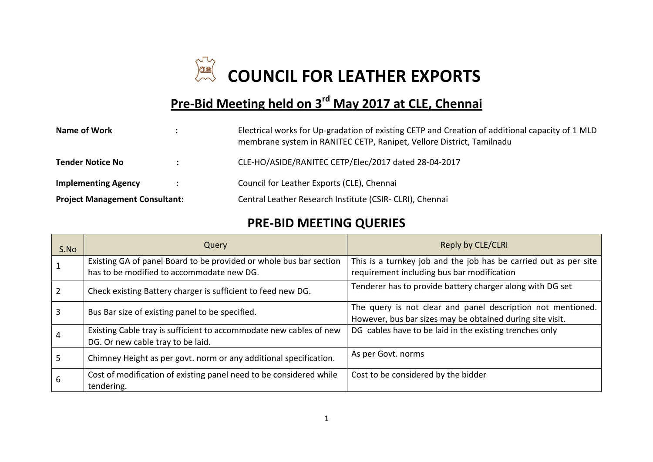

## **Pre-Bid Meeting held on 3<sup>rd</sup> May 2017 at CLE, Chennai**

| Name of Work                          |  | Electrical works for Up-gradation of existing CETP and Creation of additional capacity of 1 MLD<br>membrane system in RANITEC CETP, Ranipet, Vellore District, Tamilnadu |
|---------------------------------------|--|--------------------------------------------------------------------------------------------------------------------------------------------------------------------------|
| <b>Tender Notice No</b>               |  | CLE-HO/ASIDE/RANITEC CETP/Elec/2017 dated 28-04-2017                                                                                                                     |
| <b>Implementing Agency</b>            |  | Council for Leather Exports (CLE), Chennai                                                                                                                               |
| <b>Project Management Consultant:</b> |  | Central Leather Research Institute (CSIR- CLRI), Chennai                                                                                                                 |

## **PRE-BID MEETING QUERIES**

| S.No | Query                                                                                                           | Reply by CLE/CLRI                                                                                                        |
|------|-----------------------------------------------------------------------------------------------------------------|--------------------------------------------------------------------------------------------------------------------------|
|      | Existing GA of panel Board to be provided or whole bus bar section<br>has to be modified to accommodate new DG. | This is a turnkey job and the job has be carried out as per site<br>requirement including bus bar modification           |
|      | Check existing Battery charger is sufficient to feed new DG.                                                    | Tenderer has to provide battery charger along with DG set                                                                |
|      | Bus Bar size of existing panel to be specified.                                                                 | The query is not clear and panel description not mentioned.<br>However, bus bar sizes may be obtained during site visit. |
|      | Existing Cable tray is sufficient to accommodate new cables of new<br>DG. Or new cable tray to be laid.         | DG cables have to be laid in the existing trenches only                                                                  |
|      | Chimney Height as per govt. norm or any additional specification.                                               | As per Govt. norms                                                                                                       |
|      | Cost of modification of existing panel need to be considered while<br>tendering.                                | Cost to be considered by the bidder                                                                                      |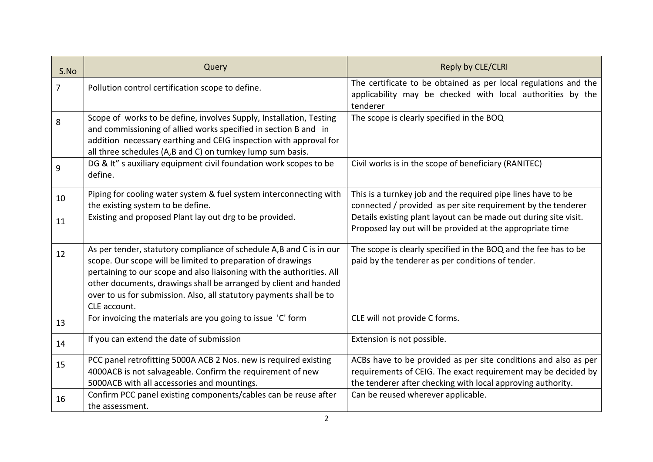| S.No           | Query                                                                                                                                                                                                                                                                                                                                                                  | Reply by CLE/CLRI                                                                                                                                                                               |
|----------------|------------------------------------------------------------------------------------------------------------------------------------------------------------------------------------------------------------------------------------------------------------------------------------------------------------------------------------------------------------------------|-------------------------------------------------------------------------------------------------------------------------------------------------------------------------------------------------|
| $\overline{7}$ | Pollution control certification scope to define.                                                                                                                                                                                                                                                                                                                       | The certificate to be obtained as per local regulations and the<br>applicability may be checked with local authorities by the<br>tenderer                                                       |
| 8              | Scope of works to be define, involves Supply, Installation, Testing<br>and commissioning of allied works specified in section B and in<br>addition necessary earthing and CEIG inspection with approval for<br>all three schedules (A,B and C) on turnkey lump sum basis.                                                                                              | The scope is clearly specified in the BOQ                                                                                                                                                       |
| 9              | DG & It" s auxiliary equipment civil foundation work scopes to be<br>define.                                                                                                                                                                                                                                                                                           | Civil works is in the scope of beneficiary (RANITEC)                                                                                                                                            |
| 10             | Piping for cooling water system & fuel system interconnecting with<br>the existing system to be define.                                                                                                                                                                                                                                                                | This is a turnkey job and the required pipe lines have to be<br>connected / provided as per site requirement by the tenderer                                                                    |
| 11             | Existing and proposed Plant lay out drg to be provided.                                                                                                                                                                                                                                                                                                                | Details existing plant layout can be made out during site visit.<br>Proposed lay out will be provided at the appropriate time                                                                   |
| 12             | As per tender, statutory compliance of schedule A,B and C is in our<br>scope. Our scope will be limited to preparation of drawings<br>pertaining to our scope and also liaisoning with the authorities. All<br>other documents, drawings shall be arranged by client and handed<br>over to us for submission. Also, all statutory payments shall be to<br>CLE account. | The scope is clearly specified in the BOQ and the fee has to be<br>paid by the tenderer as per conditions of tender.                                                                            |
| 13             | For invoicing the materials are you going to issue 'C' form                                                                                                                                                                                                                                                                                                            | CLE will not provide C forms.                                                                                                                                                                   |
| 14             | If you can extend the date of submission                                                                                                                                                                                                                                                                                                                               | Extension is not possible.                                                                                                                                                                      |
| 15             | PCC panel retrofitting 5000A ACB 2 Nos. new is required existing<br>4000ACB is not salvageable. Confirm the requirement of new<br>5000ACB with all accessories and mountings.                                                                                                                                                                                          | ACBs have to be provided as per site conditions and also as per<br>requirements of CEIG. The exact requirement may be decided by<br>the tenderer after checking with local approving authority. |
| 16             | Confirm PCC panel existing components/cables can be reuse after<br>the assessment.                                                                                                                                                                                                                                                                                     | Can be reused wherever applicable.                                                                                                                                                              |